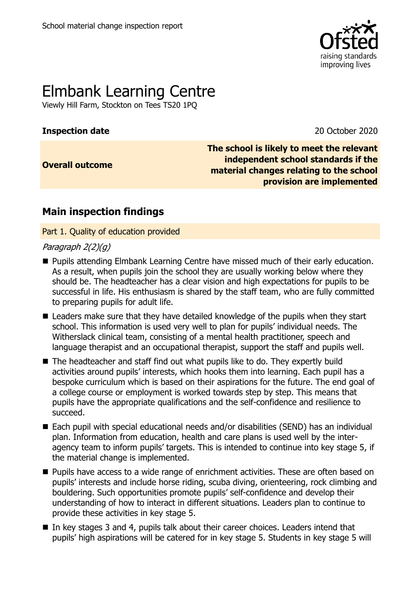

# Elmbank Learning Centre

Viewly Hill Farm, Stockton on Tees TS20 1PQ

#### **Inspection date** 2020

**Overall outcome**

**The school is likely to meet the relevant independent school standards if the material changes relating to the school provision are implemented**

## **Main inspection findings**

Part 1. Quality of education provided

#### Paragraph 2(2)(g)

- **Pupils attending Elmbank Learning Centre have missed much of their early education.** As a result, when pupils join the school they are usually working below where they should be. The headteacher has a clear vision and high expectations for pupils to be successful in life. His enthusiasm is shared by the staff team, who are fully committed to preparing pupils for adult life.
- Leaders make sure that they have detailed knowledge of the pupils when they start school. This information is used very well to plan for pupils' individual needs. The Witherslack clinical team, consisting of a mental health practitioner, speech and language therapist and an occupational therapist, support the staff and pupils well.
- The headteacher and staff find out what pupils like to do. They expertly build activities around pupils' interests, which hooks them into learning. Each pupil has a bespoke curriculum which is based on their aspirations for the future. The end goal of a college course or employment is worked towards step by step. This means that pupils have the appropriate qualifications and the self-confidence and resilience to succeed.
- Each pupil with special educational needs and/or disabilities (SEND) has an individual plan. Information from education, health and care plans is used well by the interagency team to inform pupils' targets. This is intended to continue into key stage 5, if the material change is implemented.
- **Pupils have access to a wide range of enrichment activities. These are often based on** pupils' interests and include horse riding, scuba diving, orienteering, rock climbing and bouldering. Such opportunities promote pupils' self-confidence and develop their understanding of how to interact in different situations. Leaders plan to continue to provide these activities in key stage 5.
- In key stages 3 and 4, pupils talk about their career choices. Leaders intend that pupils' high aspirations will be catered for in key stage 5. Students in key stage 5 will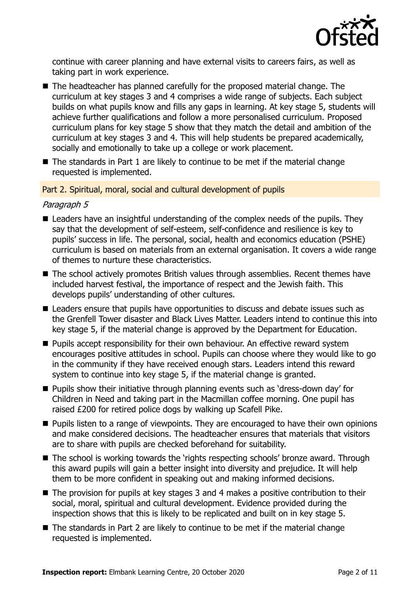

continue with career planning and have external visits to careers fairs, as well as taking part in work experience.

- The headteacher has planned carefully for the proposed material change. The curriculum at key stages 3 and 4 comprises a wide range of subjects. Each subject builds on what pupils know and fills any gaps in learning. At key stage 5, students will achieve further qualifications and follow a more personalised curriculum. Proposed curriculum plans for key stage 5 show that they match the detail and ambition of the curriculum at key stages 3 and 4. This will help students be prepared academically, socially and emotionally to take up a college or work placement.
- $\blacksquare$  The standards in Part 1 are likely to continue to be met if the material change requested is implemented.

#### Part 2. Spiritual, moral, social and cultural development of pupils

#### Paragraph 5

- Leaders have an insightful understanding of the complex needs of the pupils. They say that the development of self-esteem, self-confidence and resilience is key to pupils' success in life. The personal, social, health and economics education (PSHE) curriculum is based on materials from an external organisation. It covers a wide range of themes to nurture these characteristics.
- The school actively promotes British values through assemblies. Recent themes have included harvest festival, the importance of respect and the Jewish faith. This develops pupils' understanding of other cultures.
- Leaders ensure that pupils have opportunities to discuss and debate issues such as the Grenfell Tower disaster and Black Lives Matter. Leaders intend to continue this into key stage 5, if the material change is approved by the Department for Education.
- $\blacksquare$  Pupils accept responsibility for their own behaviour. An effective reward system encourages positive attitudes in school. Pupils can choose where they would like to go in the community if they have received enough stars. Leaders intend this reward system to continue into key stage 5, if the material change is granted.
- **Pupils show their initiative through planning events such as 'dress-down day' for** Children in Need and taking part in the Macmillan coffee morning. One pupil has raised £200 for retired police dogs by walking up Scafell Pike.
- **Pupils listen to a range of viewpoints. They are encouraged to have their own opinions** and make considered decisions. The headteacher ensures that materials that visitors are to share with pupils are checked beforehand for suitability.
- The school is working towards the 'rights respecting schools' bronze award. Through this award pupils will gain a better insight into diversity and prejudice. It will help them to be more confident in speaking out and making informed decisions.
- The provision for pupils at key stages 3 and 4 makes a positive contribution to their social, moral, spiritual and cultural development. Evidence provided during the inspection shows that this is likely to be replicated and built on in key stage 5.
- $\blacksquare$  The standards in Part 2 are likely to continue to be met if the material change requested is implemented.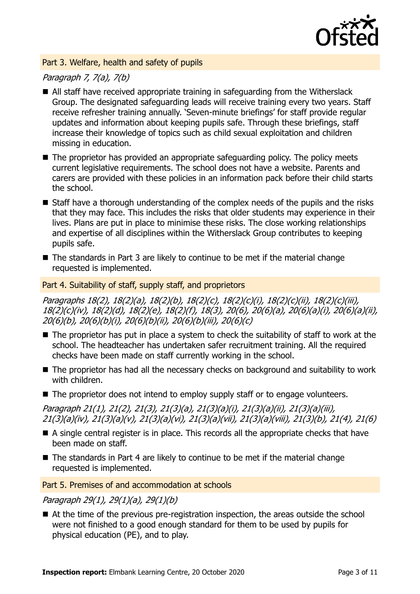

#### Part 3. Welfare, health and safety of pupils

### Paragraph 7, 7(a), 7(b)

- All staff have received appropriate training in safeguarding from the Witherslack Group. The designated safeguarding leads will receive training every two years. Staff receive refresher training annually. 'Seven-minute briefings' for staff provide regular updates and information about keeping pupils safe. Through these briefings, staff increase their knowledge of topics such as child sexual exploitation and children missing in education.
- $\blacksquare$  The proprietor has provided an appropriate safeguarding policy. The policy meets current legislative requirements. The school does not have a website. Parents and carers are provided with these policies in an information pack before their child starts the school.
- Staff have a thorough understanding of the complex needs of the pupils and the risks that they may face. This includes the risks that older students may experience in their lives. Plans are put in place to minimise these risks. The close working relationships and expertise of all disciplines within the Witherslack Group contributes to keeping pupils safe.
- The standards in Part 3 are likely to continue to be met if the material change requested is implemented.

#### Part 4. Suitability of staff, supply staff, and proprietors

Paragraphs 18(2), 18(2)(a), 18(2)(b), 18(2)(c), 18(2)(c)(i), 18(2)(c)(ii), 18(2)(c)(iii), 18(2)(c)(iv), 18(2)(d), 18(2)(e), 18(2)(f), 18(3), 20(6), 20(6)(a), 20(6)(a)(i), 20(6)(a)(ii), 20(6)(b), 20(6)(b)(i), 20(6)(b)(ii), 20(6)(b)(iii), 20(6)(c)

- The proprietor has put in place a system to check the suitability of staff to work at the school. The headteacher has undertaken safer recruitment training. All the required checks have been made on staff currently working in the school.
- The proprietor has had all the necessary checks on background and suitability to work with children.
- The proprietor does not intend to employ supply staff or to engage volunteers.

Paragraph 21(1), 21(2), 21(3), 21(3)(a), 21(3)(a)(i), 21(3)(a)(ii), 21(3)(a)(iii), 21(3)(a)(iv), 21(3)(a)(v), 21(3)(a)(vi), 21(3)(a)(vii), 21(3)(a)(viii), 21(3)(b), 21(4), 21(6)

- A single central register is in place. This records all the appropriate checks that have been made on staff.
- $\blacksquare$  The standards in Part 4 are likely to continue to be met if the material change requested is implemented.

Part 5. Premises of and accommodation at schools

#### Paragraph 29(1), 29(1)(a), 29(1)(b)

■ At the time of the previous pre-registration inspection, the areas outside the school were not finished to a good enough standard for them to be used by pupils for physical education (PE), and to play.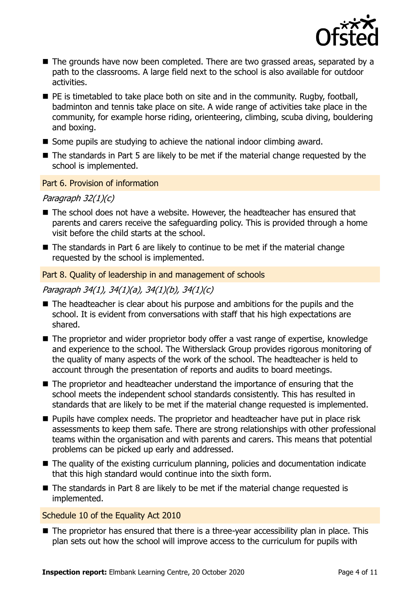

- The grounds have now been completed. There are two grassed areas, separated by a path to the classrooms. A large field next to the school is also available for outdoor activities.
- $\blacksquare$  PE is timetabled to take place both on site and in the community. Rugby, football, badminton and tennis take place on site. A wide range of activities take place in the community, for example horse riding, orienteering, climbing, scuba diving, bouldering and boxing.
- Some pupils are studying to achieve the national indoor climbing award.
- The standards in Part 5 are likely to be met if the material change requested by the school is implemented.

#### Part 6. Provision of information

#### Paragraph 32(1)(c)

- The school does not have a website. However, the headteacher has ensured that parents and carers receive the safeguarding policy. This is provided through a home visit before the child starts at the school.
- $\blacksquare$  The standards in Part 6 are likely to continue to be met if the material change requested by the school is implemented.

#### Part 8. Quality of leadership in and management of schools

#### Paragraph 34(1), 34(1)(a), 34(1)(b), 34(1)(c)

- The headteacher is clear about his purpose and ambitions for the pupils and the school. It is evident from conversations with staff that his high expectations are shared.
- The proprietor and wider proprietor body offer a vast range of expertise, knowledge and experience to the school. The Witherslack Group provides rigorous monitoring of the quality of many aspects of the work of the school. The headteacher is held to account through the presentation of reports and audits to board meetings.
- The proprietor and headteacher understand the importance of ensuring that the school meets the independent school standards consistently. This has resulted in standards that are likely to be met if the material change requested is implemented.
- **Pupils have complex needs. The proprietor and headteacher have put in place risk** assessments to keep them safe. There are strong relationships with other professional teams within the organisation and with parents and carers. This means that potential problems can be picked up early and addressed.
- The quality of the existing curriculum planning, policies and documentation indicate that this high standard would continue into the sixth form.
- The standards in Part 8 are likely to be met if the material change requested is implemented.

#### Schedule 10 of the Equality Act 2010

■ The proprietor has ensured that there is a three-year accessibility plan in place. This plan sets out how the school will improve access to the curriculum for pupils with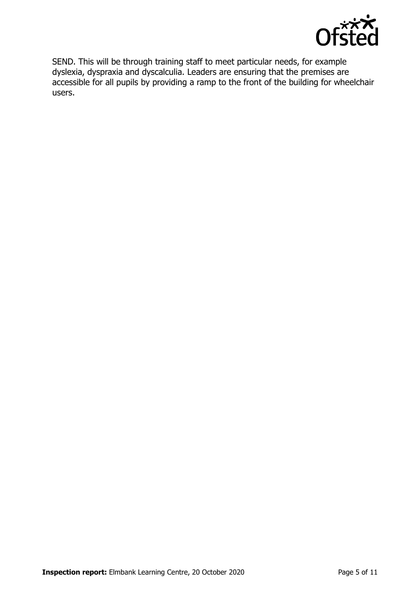

SEND. This will be through training staff to meet particular needs, for example dyslexia, dyspraxia and dyscalculia. Leaders are ensuring that the premises are accessible for all pupils by providing a ramp to the front of the building for wheelchair users.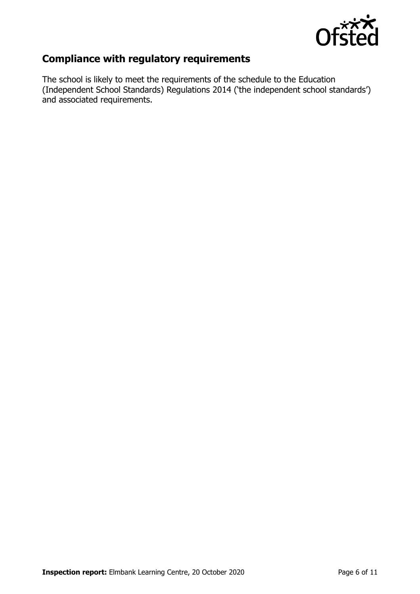

## **Compliance with regulatory requirements**

The school is likely to meet the requirements of the schedule to the Education (Independent School Standards) Regulations 2014 ('the independent school standards') and associated requirements.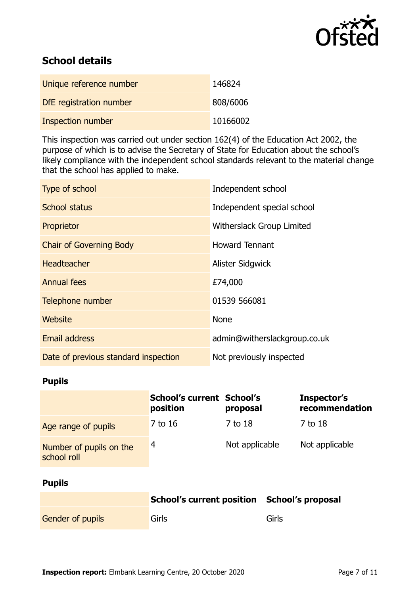

## **School details**

| Unique reference number | 146824   |
|-------------------------|----------|
| DfE registration number | 808/6006 |
| Inspection number       | 10166002 |

This inspection was carried out under section 162(4) of the Education Act 2002, the purpose of which is to advise the Secretary of State for Education about the school's likely compliance with the independent school standards relevant to the material change that the school has applied to make.

| Type of school                       | Independent school           |
|--------------------------------------|------------------------------|
| <b>School status</b>                 | Independent special school   |
| Proprietor                           | Witherslack Group Limited    |
| <b>Chair of Governing Body</b>       | <b>Howard Tennant</b>        |
| <b>Headteacher</b>                   | Alister Sidgwick             |
| <b>Annual fees</b>                   | £74,000                      |
| Telephone number                     | 01539 566081                 |
| Website                              | <b>None</b>                  |
| <b>Email address</b>                 | admin@witherslackgroup.co.uk |
| Date of previous standard inspection | Not previously inspected     |

### **Pupils**

|                                        | <b>School's current School's</b><br>position | proposal       | Inspector's<br>recommendation |
|----------------------------------------|----------------------------------------------|----------------|-------------------------------|
| Age range of pupils                    | 7 to 16                                      | 7 to 18        | 7 to 18                       |
| Number of pupils on the<br>school roll | 4                                            | Not applicable | Not applicable                |

#### **Pupils**

|                         | School's current position School's proposal |       |
|-------------------------|---------------------------------------------|-------|
| <b>Gender of pupils</b> | Girls                                       | Girls |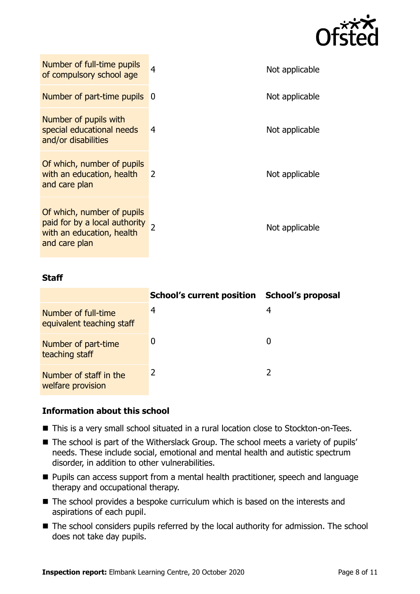

| Number of full-time pupils<br>of compulsory school age                                                      | 4              | Not applicable |
|-------------------------------------------------------------------------------------------------------------|----------------|----------------|
| Number of part-time pupils                                                                                  | -0             | Not applicable |
| Number of pupils with<br>special educational needs<br>and/or disabilities                                   | 4              | Not applicable |
| Of which, number of pupils<br>with an education, health<br>and care plan                                    | $\overline{2}$ | Not applicable |
| Of which, number of pupils<br>paid for by a local authority 2<br>with an education, health<br>and care plan |                | Not applicable |

#### **Staff**

|                                                  | <b>School's current position</b> | School's proposal |
|--------------------------------------------------|----------------------------------|-------------------|
| Number of full-time<br>equivalent teaching staff | 4                                | 4                 |
| Number of part-time<br>teaching staff            |                                  | 0                 |
| Number of staff in the<br>welfare provision      |                                  |                   |

#### **Information about this school**

- This is a very small school situated in a rural location close to Stockton-on-Tees.
- The school is part of the Witherslack Group. The school meets a variety of pupils' needs. These include social, emotional and mental health and autistic spectrum disorder, in addition to other vulnerabilities.
- **Pupils can access support from a mental health practitioner, speech and language** therapy and occupational therapy.
- The school provides a bespoke curriculum which is based on the interests and aspirations of each pupil.
- The school considers pupils referred by the local authority for admission. The school does not take day pupils.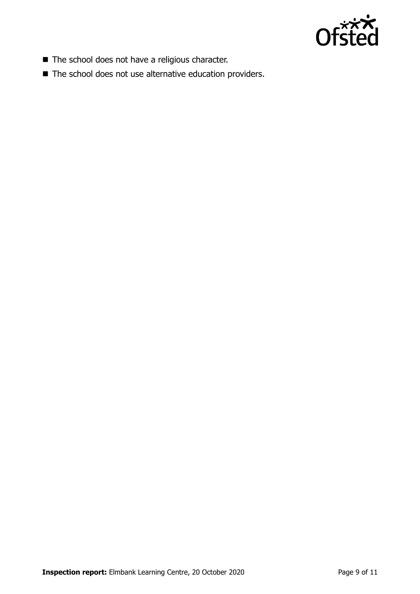

- The school does not have a religious character.
- The school does not use alternative education providers.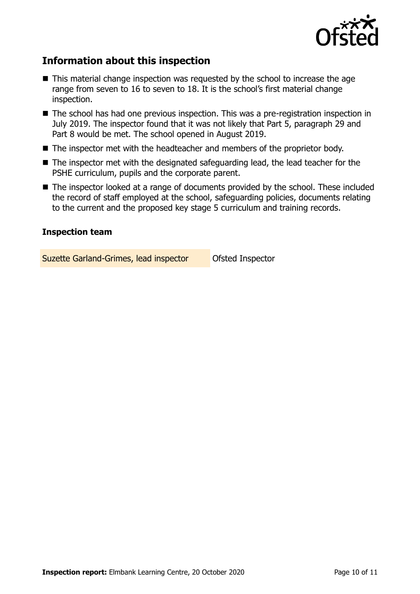

## **Information about this inspection**

- This material change inspection was requested by the school to increase the age range from seven to 16 to seven to 18. It is the school's first material change inspection.
- The school has had one previous inspection. This was a pre-registration inspection in July 2019. The inspector found that it was not likely that Part 5, paragraph 29 and Part 8 would be met. The school opened in August 2019.
- The inspector met with the headteacher and members of the proprietor body.
- The inspector met with the designated safeguarding lead, the lead teacher for the PSHE curriculum, pupils and the corporate parent.
- The inspector looked at a range of documents provided by the school. These included the record of staff employed at the school, safeguarding policies, documents relating to the current and the proposed key stage 5 curriculum and training records.

#### **Inspection team**

Suzette Garland-Grimes, lead inspector Ofsted Inspector